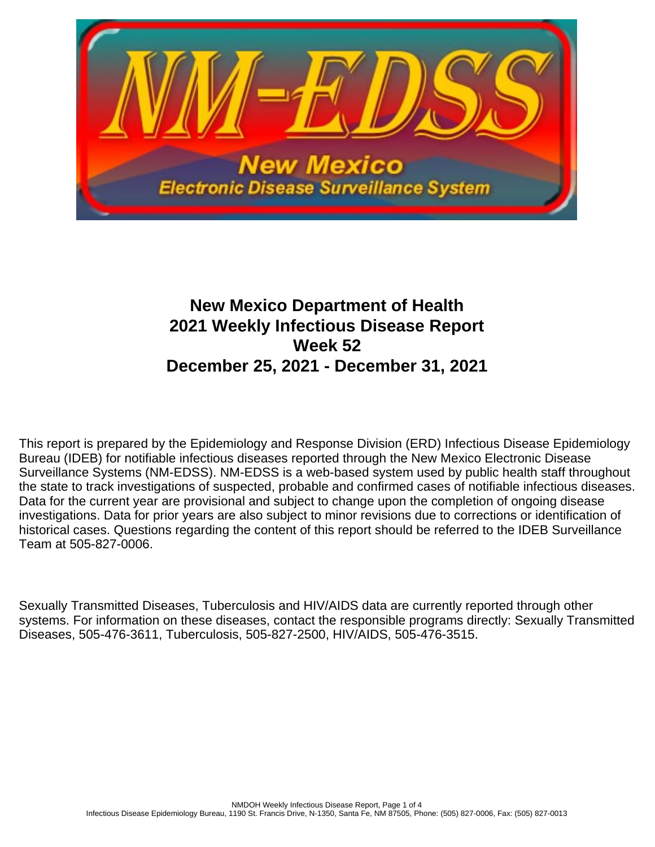

# **New Mexico Department of Health 2021 Weekly Infectious Disease Report Week 52 December 25, 2021 - December 31, 2021**

This report is prepared by the Epidemiology and Response Division (ERD) Infectious Disease Epidemiology Bureau (IDEB) for notifiable infectious diseases reported through the New Mexico Electronic Disease Surveillance Systems (NM-EDSS). NM-EDSS is a web-based system used by public health staff throughout the state to track investigations of suspected, probable and confirmed cases of notifiable infectious diseases. Data for the current year are provisional and subject to change upon the completion of ongoing disease investigations. Data for prior years are also subject to minor revisions due to corrections or identification of historical cases. Questions regarding the content of this report should be referred to the IDEB Surveillance Team at 505-827-0006.

Sexually Transmitted Diseases, Tuberculosis and HIV/AIDS data are currently reported through other systems. For information on these diseases, contact the responsible programs directly: Sexually Transmitted Diseases, 505-476-3611, Tuberculosis, 505-827-2500, HIV/AIDS, 505-476-3515.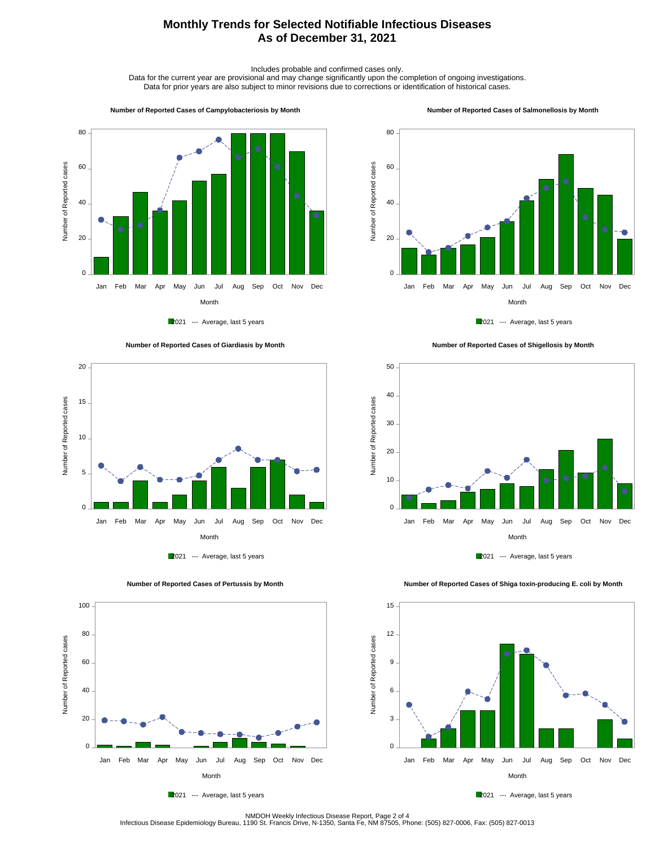## **Monthly Trends for Selected Notifiable Infectious Diseases As of December 31, 2021**

Includes probable and confirmed cases only.

Data for the current year are provisional and may change significantly upon the completion of ongoing investigations. Data for prior years are also subject to minor revisions due to corrections or identification of historical cases.

#### **Number of Reported Cases of Campylobacteriosis by Month**



2021 --- Average, last 5 years





 **Number of Reported Cases of Pertussis by Month**

Number of Reported cases

Number of Reported cases

 $0 -$ 

20

40

60

80

100

2021 --- Average, last 5 years

Month Jan Feb Mar Apr May Jun Jul Aug Sep Oct Nov Dec





2021 --- Average, last 5 years







 **Number of Reported Cases of Shiga toxin-producing E. coli by Month**

NMDOH Weekly Infectious Disease Report, Page 2 of 4<br>Infectious Disease Epidemiology Bureau, 1190 St. Francis Drive, N-1350, Santa Fe, NM 87505, Phone: (505) 827-0006, Fax: (505) 827-0013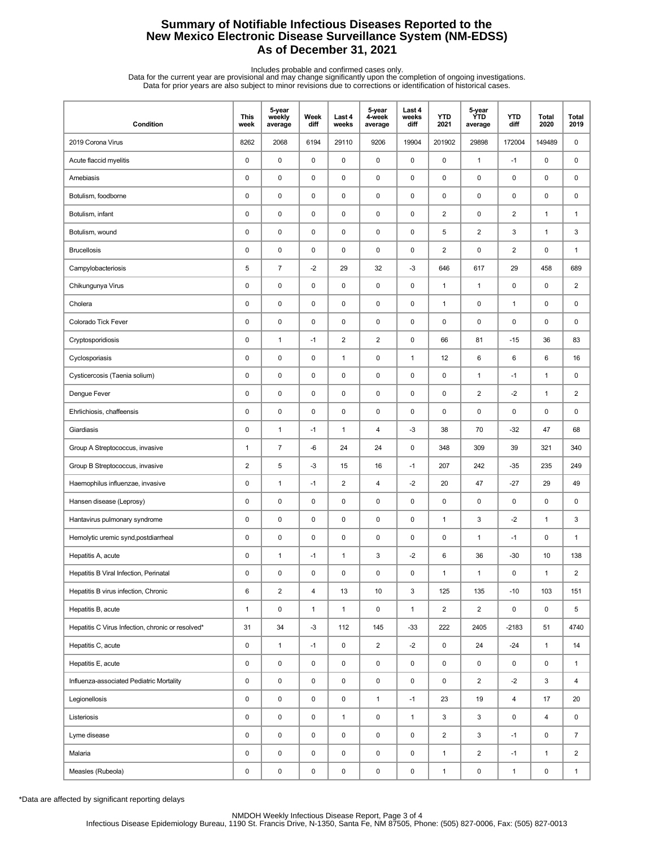## **Summary of Notifiable Infectious Diseases Reported to the New Mexico Electronic Disease Surveillance System (NM-EDSS) As of December 31, 2021**

Includes probable and confirmed cases only.<br>Data for the current year are provisional and may change significantly upon the completion of ongoing investigations.<br>Data for prior years are also subject to minor revisions due

| Condition                                         | <b>This</b><br>week | 5-year<br>weekly<br>average | Week<br>diff | Last 4<br>weeks | 5-year<br>4-week<br>average | Last 4<br>weeks<br>diff | <b>YTD</b><br>2021      | 5-year<br>ÝTD<br>average | <b>YTD</b><br>diff | Total<br>2020 | Total<br>2019  |
|---------------------------------------------------|---------------------|-----------------------------|--------------|-----------------|-----------------------------|-------------------------|-------------------------|--------------------------|--------------------|---------------|----------------|
| 2019 Corona Virus                                 | 8262                | 2068                        | 6194         | 29110           | 9206                        | 19904                   | 201902                  | 29898                    | 172004             | 149489        | 0              |
| Acute flaccid myelitis                            | 0                   | $\pmb{0}$                   | $\mathsf 0$  | $\pmb{0}$       | $\mathsf 0$                 | $\mathsf 0$             | $\pmb{0}$               | $\mathbf{1}$             | $-1$               | 0             | 0              |
| Amebiasis                                         | 0                   | $\pmb{0}$                   | 0            | $\mathbf 0$     | 0                           | 0                       | 0                       | $\pmb{0}$                | 0                  | 0             | 0              |
| Botulism, foodborne                               | 0                   | $\mathbf 0$                 | 0            | $\mathbf 0$     | $\pmb{0}$                   | 0                       | 0                       | 0                        | 0                  | 0             | 0              |
| Botulism, infant                                  | 0                   | $\pmb{0}$                   | 0            | $\mathbf 0$     | $\pmb{0}$                   | $\mathsf 0$             | $\overline{2}$          | $\pmb{0}$                | $\overline{2}$     | $\mathbf{1}$  | $\mathbf{1}$   |
| Botulism, wound                                   | 0                   | $\pmb{0}$                   | 0            | $\mathbf 0$     | $\pmb{0}$                   | $\mathsf 0$             | 5                       | $\overline{2}$           | 3                  | $\mathbf{1}$  | 3              |
| <b>Brucellosis</b>                                | 0                   | $\pmb{0}$                   | $\mathsf 0$  | $\mathbf 0$     | $\pmb{0}$                   | $\mathsf 0$             | $\overline{\mathbf{c}}$ | 0                        | 2                  | 0             | $\mathbf{1}$   |
| Campylobacteriosis                                | 5                   | $\overline{7}$              | $-2$         | 29              | 32                          | $-3$                    | 646                     | 617                      | 29                 | 458           | 689            |
| Chikungunya Virus                                 | 0                   | $\pmb{0}$                   | 0            | $\mathbf 0$     | $\pmb{0}$                   | 0                       | $\mathbf{1}$            | $\mathbf{1}$             | 0                  | 0             | 2              |
| Cholera                                           | 0                   | $\pmb{0}$                   | 0            | $\mathbf 0$     | $\pmb{0}$                   | $\mathsf 0$             | $\mathbf{1}$            | $\pmb{0}$                | $\mathbf{1}$       | 0             | 0              |
| Colorado Tick Fever                               | $\pmb{0}$           | $\pmb{0}$                   | 0            | $\mathbf 0$     | $\pmb{0}$                   | $\mathsf 0$             | 0                       | $\pmb{0}$                | 0                  | 0             | 0              |
| Cryptosporidiosis                                 | 0                   | $\mathbf{1}$                | $-1$         | $\sqrt{2}$      | $\overline{\mathbf{c}}$     | $\mathsf 0$             | 66                      | 81                       | $-15$              | 36            | 83             |
| Cyclosporiasis                                    | 0                   | $\pmb{0}$                   | 0            | $\mathbf{1}$    | 0                           | $\mathbf{1}$            | 12                      | 6                        | 6                  | 6             | 16             |
| Cysticercosis (Taenia solium)                     | 0                   | $\mathbf 0$                 | 0            | 0               | $\pmb{0}$                   | 0                       | 0                       | $\mathbf{1}$             | $-1$               | $\mathbf{1}$  | 0              |
| Dengue Fever                                      | 0                   | $\pmb{0}$                   | 0            | $\mathbf 0$     | $\pmb{0}$                   | 0                       | 0                       | $\overline{\mathbf{c}}$  | $-2$               | $\mathbf{1}$  | $\overline{c}$ |
| Ehrlichiosis, chaffeensis                         | 0                   | $\pmb{0}$                   | 0            | $\mathbf 0$     | 0                           | $\mathsf 0$             | 0                       | $\pmb{0}$                | 0                  | 0             | 0              |
| Giardiasis                                        | 0                   | $\mathbf{1}$                | $-1$         | $\mathbf{1}$    | 4                           | $-3$                    | 38                      | 70                       | $-32$              | 47            | 68             |
| Group A Streptococcus, invasive                   | 1                   | $\overline{7}$              | -6           | 24              | 24                          | 0                       | 348                     | 309                      | 39                 | 321           | 340            |
| Group B Streptococcus, invasive                   | 2                   | 5                           | -3           | 15              | 16                          | $-1$                    | 207                     | 242                      | $-35$              | 235           | 249            |
| Haemophilus influenzae, invasive                  | 0                   | $\mathbf{1}$                | $-1$         | $\overline{2}$  | 4                           | $-2$                    | 20                      | 47                       | $-27$              | 29            | 49             |
| Hansen disease (Leprosy)                          | 0                   | $\pmb{0}$                   | 0            | $\mathbf 0$     | 0                           | $\mathsf 0$             | 0                       | $\pmb{0}$                | 0                  | 0             | 0              |
| Hantavirus pulmonary syndrome                     | $\pmb{0}$           | $\pmb{0}$                   | $\mathsf 0$  | $\pmb{0}$       | $\pmb{0}$                   | $\mathsf 0$             | $\mathbf{1}$            | 3                        | $-2$               | $\mathbf{1}$  | 3              |
| Hemolytic uremic synd, postdiarrheal              | 0                   | $\mathbf 0$                 | 0            | $\mathbf 0$     | 0                           | 0                       | 0                       | $\mathbf{1}$             | $-1$               | 0             | $\mathbf{1}$   |
| Hepatitis A, acute                                | 0                   | $\mathbf{1}$                | $-1$         | $\mathbf{1}$    | 3                           | $-2$                    | 6                       | 36                       | $-30$              | 10            | 138            |
| Hepatitis B Viral Infection, Perinatal            | 0                   | $\mathbf 0$                 | $\pmb{0}$    | $\mathbf 0$     | 0                           | 0                       | $\mathbf{1}$            | $\mathbf{1}$             | 0                  | $\mathbf{1}$  | $\overline{2}$ |
| Hepatitis B virus infection, Chronic              | 6                   | $\sqrt{2}$                  | 4            | 13              | 10                          | 3                       | 125                     | 135                      | $-10$              | 103           | 151            |
| Hepatitis B, acute                                | $\mathbf{1}$        | $\pmb{0}$                   | $\mathbf{1}$ | $\mathbf{1}$    | 0                           | $\mathbf{1}$            | $\overline{2}$          | $\overline{\mathbf{c}}$  | 0                  | 0             | 5              |
| Hepatitis C Virus Infection, chronic or resolved* | 31                  | 34                          | $-3$         | 112             | 145                         | $-33$                   | 222                     | 2405                     | $-2183$            | 51            | 4740           |
| Hepatitis C, acute                                | 0                   | $\mathbf{1}$                | $-1$         | 0               | $\overline{2}$              | $-2$                    | 0                       | 24                       | $-24$              | $\mathbf{1}$  | 14             |
| Hepatitis E, acute                                | 0                   | $\pmb{0}$                   | 0            | 0               | 0                           | 0                       | 0                       | 0                        | 0                  | 0             | $\mathbf{1}$   |
| Influenza-associated Pediatric Mortality          | 0                   | $\pmb{0}$                   | $\mathsf 0$  | $\mathsf 0$     | 0                           | $\mathsf 0$             | 0                       | $\overline{a}$           | $-2$               | 3             | 4              |
| Legionellosis                                     | 0                   | $\pmb{0}$                   | $\pmb{0}$    | $\mathsf 0$     | $\mathbf{1}$                | $-1$                    | 23                      | 19                       | 4                  | 17            | 20             |
| Listeriosis                                       | 0                   | $\pmb{0}$                   | $\pmb{0}$    | $\mathbf{1}$    | $\pmb{0}$                   | $\mathbf{1}$            | 3                       | 3                        | 0                  | 4             | 0              |
| Lyme disease                                      | 0                   | $\pmb{0}$                   | 0            | $\pmb{0}$       | 0                           | 0                       | $\overline{2}$          | 3                        | $-1$               | 0             | $\overline{7}$ |
| Malaria                                           | 0                   | $\pmb{0}$                   | 0            | 0               | 0                           | 0                       | $\mathbf{1}$            | $\overline{2}$           | $-1$               | $\mathbf{1}$  | $\overline{2}$ |
| Measles (Rubeola)                                 | 0                   | $\pmb{0}$                   | 0            | $\pmb{0}$       | 0                           | $\pmb{0}$               | $\mathbf{1}$            | 0                        | $\mathbf{1}$       | 0             | $\mathbf{1}$   |

\*Data are affected by significant reporting delays